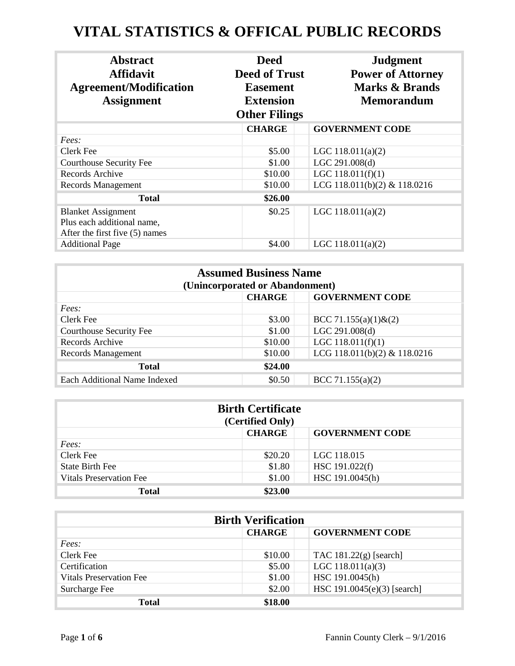## **VITAL STATISTICS & OFFICAL PUBLIC RECORDS**

| <b>Abstract</b><br><b>Affidavit</b><br><b>Agreement/Modification</b><br><b>Assignment</b> | <b>Deed</b><br><b>Deed of Trust</b><br><b>Easement</b><br><b>Extension</b><br><b>Other Filings</b> | <b>Judgment</b><br><b>Power of Attorney</b><br>Marks & Brands<br><b>Memorandum</b> |
|-------------------------------------------------------------------------------------------|----------------------------------------------------------------------------------------------------|------------------------------------------------------------------------------------|
|                                                                                           | <b>CHARGE</b>                                                                                      | <b>GOVERNMENT CODE</b>                                                             |
| Fees:                                                                                     |                                                                                                    |                                                                                    |
| Clerk Fee                                                                                 | \$5.00                                                                                             | LGC $118.011(a)(2)$                                                                |
| Courthouse Security Fee                                                                   | \$1.00                                                                                             | LGC 291.008(d)                                                                     |
| Records Archive                                                                           | \$10.00                                                                                            | LGC $118.011(f)(1)$                                                                |
| Records Management                                                                        | \$10.00                                                                                            | LCG 118.011(b)(2) & 118.0216                                                       |
| <b>Total</b>                                                                              | \$26.00                                                                                            |                                                                                    |
| <b>Blanket Assignment</b><br>Plus each additional name,<br>After the first five (5) names | \$0.25                                                                                             | LGC $118.011(a)(2)$                                                                |
| <b>Additional Page</b>                                                                    | \$4.00                                                                                             | LGC $118.011(a)(2)$                                                                |

| <b>Assumed Business Name</b><br>(Unincorporated or Abandonment) |         |                              |  |
|-----------------------------------------------------------------|---------|------------------------------|--|
| <b>CHARGE</b><br><b>GOVERNMENT CODE</b>                         |         |                              |  |
| Fees:                                                           |         |                              |  |
| Clerk Fee                                                       | \$3.00  | BCC 71.155(a)(1) $\&(2)$     |  |
| <b>Courthouse Security Fee</b>                                  | \$1.00  | LGC 291.008(d)               |  |
| Records Archive                                                 | \$10.00 | LGC $118.011(f)(1)$          |  |
| Records Management                                              | \$10.00 | LCG 118.011(b)(2) & 118.0216 |  |
| <b>Total</b>                                                    | \$24.00 |                              |  |
| Each Additional Name Indexed                                    | \$0.50  | BCC 71.155 $(a)(2)$          |  |

| <b>Birth Certificate</b><br>(Certified Only) |               |                        |  |
|----------------------------------------------|---------------|------------------------|--|
|                                              | <b>CHARGE</b> | <b>GOVERNMENT CODE</b> |  |
| Fees:                                        |               |                        |  |
| Clerk Fee                                    | \$20.20       | LGC 118.015            |  |
| <b>State Birth Fee</b>                       | \$1.80        | HSC 191.022(f)         |  |
| <b>Vitals Preservation Fee</b>               | \$1.00        | HSC 191.0045(h)        |  |
| <b>Total</b>                                 | \$23.00       |                        |  |

| <b>Birth Verification</b>      |               |                             |
|--------------------------------|---------------|-----------------------------|
|                                | <b>CHARGE</b> | <b>GOVERNMENT CODE</b>      |
| Fees:                          |               |                             |
| Clerk Fee                      | \$10.00       | TAC $181.22(g)$ [search]    |
| Certification                  | \$5.00        | LGC $118.011(a)(3)$         |
| <b>Vitals Preservation Fee</b> | \$1.00        | HSC 191.0045(h)             |
| Surcharge Fee                  | \$2.00        | HSC 191.0045(e)(3) [search] |
| <b>Total</b>                   | \$18.00       |                             |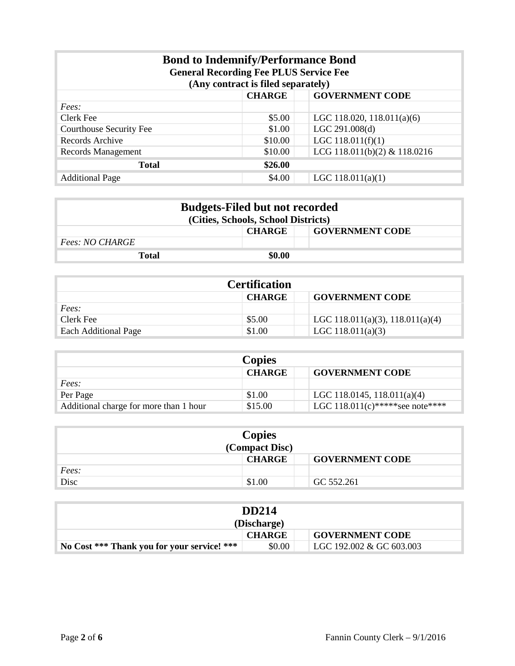| <b>Bond to Indemnify/Performance Bond</b><br><b>General Recording Fee PLUS Service Fee</b><br>(Any contract is filed separately) |         |                              |  |
|----------------------------------------------------------------------------------------------------------------------------------|---------|------------------------------|--|
| <b>CHARGE</b><br><b>GOVERNMENT CODE</b>                                                                                          |         |                              |  |
| Fees:                                                                                                                            |         |                              |  |
| Clerk Fee                                                                                                                        | \$5.00  | LGC 118.020, 118.011(a)(6)   |  |
| Courthouse Security Fee                                                                                                          | \$1.00  | LGC 291.008(d)               |  |
| Records Archive                                                                                                                  | \$10.00 | LGC $118.011(f)(1)$          |  |
| Records Management                                                                                                               | \$10.00 | LCG 118.011(b)(2) & 118.0216 |  |
| \$26.00<br><b>Total</b>                                                                                                          |         |                              |  |
| <b>Additional Page</b>                                                                                                           | \$4.00  | LGC $118.011(a)(1)$          |  |

| <b>Budgets-Filed but not recorded</b><br>(Cities, Schools, School Districts) |               |                        |
|------------------------------------------------------------------------------|---------------|------------------------|
|                                                                              | <b>CHARGE</b> | <b>GOVERNMENT CODE</b> |
| <i>Fees: NO CHARGE</i>                                                       |               |                        |
| Total                                                                        | \$0.00        |                        |

| <b>Certification</b>                    |        |                                  |  |
|-----------------------------------------|--------|----------------------------------|--|
| <b>CHARGE</b><br><b>GOVERNMENT CODE</b> |        |                                  |  |
| Fees:                                   |        |                                  |  |
| Clerk Fee                               | \$5.00 | LGC 118.011(a)(3), 118.011(a)(4) |  |
| <b>Each Additional Page</b>             | \$1.00 | LGC 118.011(a)(3)                |  |

| <b>Copies</b>                          |               |                                  |
|----------------------------------------|---------------|----------------------------------|
|                                        | <b>CHARGE</b> | <b>GOVERNMENT CODE</b>           |
| <i>Fees:</i>                           |               |                                  |
| Per Page                               | \$1.00        | LGC 118.0145, 118.011(a)(4)      |
| Additional charge for more than 1 hour | \$15.00       | LGC 118.011(c)***** see note**** |

| <b>Copies</b><br>(Compact Disc) |               |                        |
|---------------------------------|---------------|------------------------|
|                                 | <b>CHARGE</b> | <b>GOVERNMENT CODE</b> |
| Fees:                           |               |                        |
| Disc                            | \$1.00        | GC 552.261             |

| <b>DD214</b><br>(Discharge)                 |        |                          |
|---------------------------------------------|--------|--------------------------|
| <b>GOVERNMENT CODE</b><br><b>CHARGE</b>     |        |                          |
| No Cost *** Thank you for your service! *** | \$0.00 | LGC 192.002 & GC 603.003 |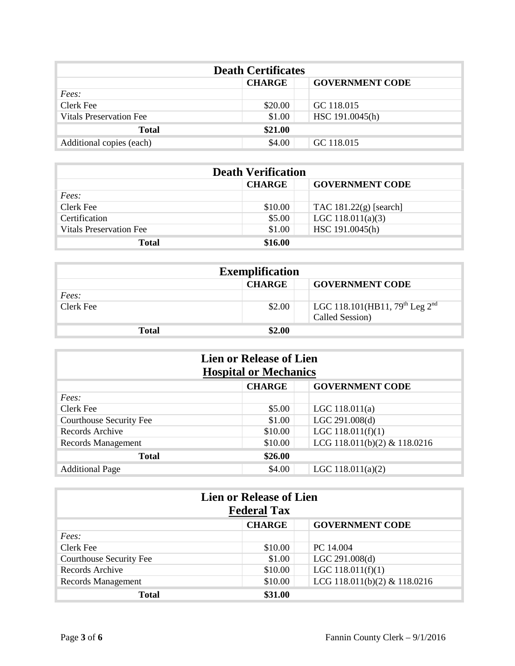| <b>Death Certificates</b>      |               |                        |  |
|--------------------------------|---------------|------------------------|--|
|                                | <b>CHARGE</b> | <b>GOVERNMENT CODE</b> |  |
| Fees:                          |               |                        |  |
| Clerk Fee                      | \$20.00       | GC 118.015             |  |
| <b>Vitals Preservation Fee</b> | \$1.00        | HSC 191.0045(h)        |  |
| <b>Total</b>                   | \$21.00       |                        |  |
| Additional copies (each)       | \$4.00        | GC 118.015             |  |

| <b>Death Verification</b>      |               |                          |
|--------------------------------|---------------|--------------------------|
|                                | <b>CHARGE</b> | <b>GOVERNMENT CODE</b>   |
| Fees:                          |               |                          |
| Clerk Fee                      | \$10.00       | TAC $181.22(g)$ [search] |
| Certification                  | \$5.00        | LGC $118.011(a)(3)$      |
| <b>Vitals Preservation Fee</b> | \$1.00        | HSC 191.0045(h)          |
| <b>Total</b>                   | \$16.00       |                          |

| <b>Exemplification</b>                  |        |                                                                           |  |
|-----------------------------------------|--------|---------------------------------------------------------------------------|--|
| <b>CHARGE</b><br><b>GOVERNMENT CODE</b> |        |                                                                           |  |
| Fees:                                   |        |                                                                           |  |
| Clerk Fee                               | \$2.00 | LGC 118.101(HB11, 79 <sup>th</sup> Leg 2 <sup>nd</sup><br>Called Session) |  |
| <b>Total</b>                            | \$2.00 |                                                                           |  |

| <b>Lien or Release of Lien</b><br><b>Hospital or Mechanics</b> |                                         |                              |  |
|----------------------------------------------------------------|-----------------------------------------|------------------------------|--|
|                                                                | <b>CHARGE</b><br><b>GOVERNMENT CODE</b> |                              |  |
| Fees:                                                          |                                         |                              |  |
| Clerk Fee                                                      | \$5.00                                  | LGC $118.011(a)$             |  |
| Courthouse Security Fee                                        | \$1.00                                  | LGC 291.008(d)               |  |
| Records Archive                                                | \$10.00                                 | LGC $118.011(f)(1)$          |  |
| <b>Records Management</b>                                      | \$10.00                                 | LCG 118.011(b)(2) & 118.0216 |  |
| <b>Total</b>                                                   | \$26.00                                 |                              |  |
| <b>Additional Page</b>                                         | \$4.00                                  | LGC $118.011(a)(2)$          |  |

| <b>Lien or Release of Lien</b><br><b>Federal Tax</b> |               |                              |
|------------------------------------------------------|---------------|------------------------------|
|                                                      | <b>CHARGE</b> | <b>GOVERNMENT CODE</b>       |
| Fees:                                                |               |                              |
| Clerk Fee                                            | \$10.00       | PC 14.004                    |
| <b>Courthouse Security Fee</b>                       | \$1.00        | LGC 291.008(d)               |
| Records Archive                                      | \$10.00       | LGC $118.011(f)(1)$          |
| Records Management                                   | \$10.00       | LCG 118.011(b)(2) & 118.0216 |
| Total                                                | \$31.00       |                              |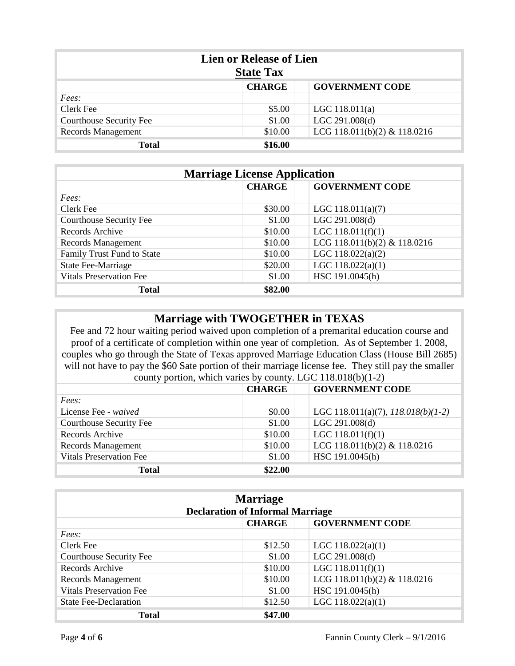| <b>Lien or Release of Lien</b><br><b>State Tax</b> |               |                              |
|----------------------------------------------------|---------------|------------------------------|
|                                                    | <b>CHARGE</b> | <b>GOVERNMENT CODE</b>       |
| Fees:                                              |               |                              |
| Clerk Fee                                          | \$5.00        | LGC $118.011(a)$             |
| Courthouse Security Fee                            | \$1.00        | LGC 291.008(d)               |
| Records Management                                 | \$10.00       | LCG 118.011(b)(2) & 118.0216 |
| <b>Total</b>                                       | \$16.00       |                              |

| <b>Marriage License Application</b> |               |                              |
|-------------------------------------|---------------|------------------------------|
|                                     | <b>CHARGE</b> | <b>GOVERNMENT CODE</b>       |
| Fees:                               |               |                              |
| Clerk Fee                           | \$30.00       | LGC $118.011(a)(7)$          |
| <b>Courthouse Security Fee</b>      | \$1.00        | LGC 291.008(d)               |
| Records Archive                     | \$10.00       | LGC $118.011(f)(1)$          |
| Records Management                  | \$10.00       | LCG 118.011(b)(2) & 118.0216 |
| Family Trust Fund to State          | \$10.00       | LGC $118.022(a)(2)$          |
| <b>State Fee-Marriage</b>           | \$20.00       | LGC $118.022(a)(1)$          |
| <b>Vitals Preservation Fee</b>      | \$1.00        | HSC 191.0045(h)              |
| <b>Total</b>                        | \$82.00       |                              |

## **Marriage with TWOGETHER in TEXAS**

Fee and 72 hour waiting period waived upon completion of a premarital education course and proof of a certificate of completion within one year of completion. As of September 1. 2008, couples who go through the State of Texas approved Marriage Education Class (House Bill 2685) will not have to pay the \$60 Sate portion of their marriage license fee. They still pay the smaller county portion, which varies by county. LGC 118.018(b)(1-2)

|                                | <b>CHARGE</b> | <b>GOVERNMENT CODE</b>               |
|--------------------------------|---------------|--------------------------------------|
| Fees:                          |               |                                      |
| License Fee - waived           | \$0.00        | LGC 118.011(a)(7), $118.018(b)(1-2)$ |
| <b>Courthouse Security Fee</b> | \$1.00        | LGC 291.008(d)                       |
| Records Archive                | \$10.00       | LGC $118.011(f)(1)$                  |
| Records Management             | \$10.00       | LCG 118.011(b)(2) & 118.0216         |
| <b>Vitals Preservation Fee</b> | \$1.00        | HSC 191.0045(h)                      |
| <b>Total</b>                   | \$22.00       |                                      |

| <b>Marriage</b><br><b>Declaration of Informal Marriage</b> |         |                              |
|------------------------------------------------------------|---------|------------------------------|
| <b>GOVERNMENT CODE</b><br><b>CHARGE</b>                    |         |                              |
| Fees:                                                      |         |                              |
| Clerk Fee                                                  | \$12.50 | LGC $118.022(a)(1)$          |
| <b>Courthouse Security Fee</b>                             | \$1.00  | LGC 291.008(d)               |
| Records Archive                                            | \$10.00 | LGC $118.011(f)(1)$          |
| Records Management                                         | \$10.00 | LCG 118.011(b)(2) & 118.0216 |
| <b>Vitals Preservation Fee</b>                             | \$1.00  | HSC 191.0045(h)              |
| <b>State Fee-Declaration</b>                               | \$12.50 | LGC $118.022(a)(1)$          |
| <b>Total</b>                                               | \$47.00 |                              |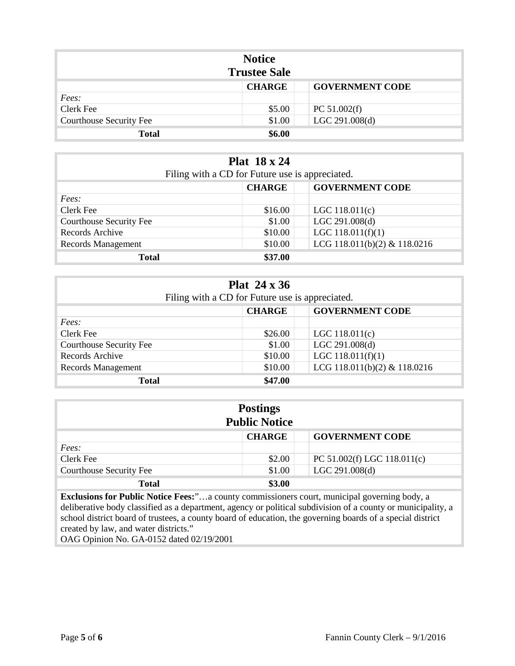| <b>Notice</b><br><b>Trustee Sale</b> |               |                        |
|--------------------------------------|---------------|------------------------|
|                                      | <b>CHARGE</b> | <b>GOVERNMENT CODE</b> |
| Fees:                                |               |                        |
| Clerk Fee                            | \$5.00        | PC $51.002(f)$         |
| <b>Courthouse Security Fee</b>       | \$1.00        | LGC 291.008(d)         |
| <b>Total</b>                         | \$6.00        |                        |

| <b>Plat 18 x 24</b><br>Filing with a CD for Future use is appreciated. |         |                              |  |
|------------------------------------------------------------------------|---------|------------------------------|--|
| <b>GOVERNMENT CODE</b><br><b>CHARGE</b>                                |         |                              |  |
| Fees:                                                                  |         |                              |  |
| Clerk Fee                                                              | \$16.00 | LGC $118.011(c)$             |  |
| <b>Courthouse Security Fee</b>                                         | \$1.00  | LGC 291.008(d)               |  |
| Records Archive                                                        | \$10.00 | LGC $118.011(f)(1)$          |  |
| Records Management                                                     | \$10.00 | LCG 118.011(b)(2) & 118.0216 |  |
| <b>Total</b>                                                           | \$37.00 |                              |  |

| Plat $24 \times 36$<br>Filing with a CD for Future use is appreciated. |         |                              |  |
|------------------------------------------------------------------------|---------|------------------------------|--|
| <b>GOVERNMENT CODE</b><br><b>CHARGE</b>                                |         |                              |  |
| Fees:                                                                  |         |                              |  |
| Clerk Fee                                                              | \$26.00 | LGC $118.011(c)$             |  |
| <b>Courthouse Security Fee</b>                                         | \$1.00  | LGC 291.008(d)               |  |
| Records Archive                                                        | \$10.00 | LGC $118.011(f)(1)$          |  |
| Records Management                                                     | \$10.00 | LCG 118.011(b)(2) & 118.0216 |  |
| <b>Total</b>                                                           | \$47.00 |                              |  |

| <b>Postings</b><br><b>Public Notice</b> |               |                             |
|-----------------------------------------|---------------|-----------------------------|
|                                         | <b>CHARGE</b> | <b>GOVERNMENT CODE</b>      |
| Fees:                                   |               |                             |
| Clerk Fee                               | \$2.00        | PC 51.002(f) LGC 118.011(c) |
| <b>Courthouse Security Fee</b>          | \$1.00        | LGC 291.008(d)              |
| <b>Total</b>                            | \$3.00        |                             |

**Exclusions for Public Notice Fees:**"…a county commissioners court, municipal governing body, a deliberative body classified as a department, agency or political subdivision of a county or municipality, a school district board of trustees, a county board of education, the governing boards of a special district created by law, and water districts."

OAG Opinion No. GA-0152 dated 02/19/2001